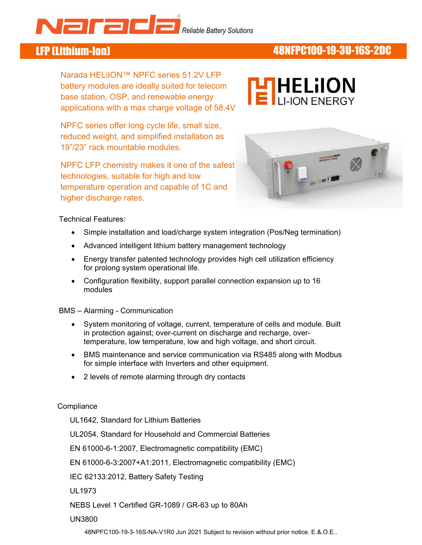# **A CONSTITUTE DESCRIPTION Reliable Battery Solutions**

# LFP (Lithium-Ion) 48NFPC100-19-3U-16S-2DC

Narada HELiION™ NPFC series 51.2V LFP battery modules are ideally suited for telecom base station, OSP, and renewable energy applications with a max charge voltage of 58.4V

 reduced weight, and simplified installation as NPFC series offer long cycle life, small size, 19"/23" rack mountable modules.

NPFC LFP chemistry makes it one of the safest technologies, suitable for high and low temperature operation and capable of 1C and higher discharge rates.



Technical Features:

- Simple installation and load/charge system integration (Pos/Neg termination)
- Advanced intelligent lithium battery management technology
- Energy transfer patented technology provides high cell utilization efficiency for prolong system operational life.
- Configuration flexibility, support parallel connection expansion up to 16 modules

BMS – Alarming - Communication

- System monitoring of voltage, current, temperature of cells and module. Built in protection against; over-current on discharge and recharge, overtemperature, low temperature, low and high voltage, and short circuit.
- BMS maintenance and service communication via RS485 along with Modbus for simple interface with Inverters and other equipment.
- 2 levels of remote alarming through dry contacts

#### **Compliance**

UL1642, Standard for Lithium Batteries

UL2054, Standard for Household and Commercial Batteries

EN 61000-6-1:2007, Electromagnetic compatibility (EMC)

EN 61000-6-3:2007+A1:2011, Electromagnetic compatibility (EMC)

IEC 62133:2012, Battery Safety Testing

UL1973

NEBS Level 1 Certified GR-1089 / GR-63 up to 80Ah

UN3800

48NPFC100-19-3-16S-NA-V1R0 Jun 2021 Subject to revision without prior notice. E.&.O.E..